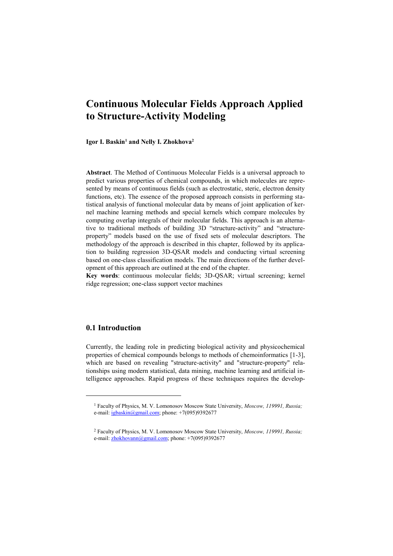# **Continuous Molecular Fields Approach Applied to Structure-Activity Modeling**

**Igor I. Baskin<sup>1</sup> and Nelly I. Zhokhova<sup>2</sup>**

**Abstract**. The Method of Continuous Molecular Fields is a universal approach to predict various properties of chemical compounds, in which molecules are represented by means of continuous fields (such as electrostatic, steric, electron density functions, etc). The essence of the proposed approach consists in performing statistical analysis of functional molecular data by means of joint application of kernel machine learning methods and special kernels which compare molecules by computing overlap integrals of their molecular fields. This approach is an alternative to traditional methods of building 3D "structure-activity" and "structureproperty" models based on the use of fixed sets of molecular descriptors. The methodology of the approach is described in this chapter, followed by its application to building regression 3D-QSAR models and conducting virtual screening based on one-class classification models. The main directions of the further development of this approach are outlined at the end of the chapter.

**Key words**: continuous molecular fields; 3D-QSAR; virtual screening; kernel ridge regression; one-class support vector machines

### **0.1 Introduction**

 $\overline{a}$ 

Currently, the leading role in predicting biological activity and physicochemical properties of chemical compounds belongs to methods of chemoinformatics [1-3], which are based on revealing "structure-activity" and "structure-property" relationships using modern statistical, data mining, machine learning and artificial intelligence approaches. Rapid progress of these techniques requires the develop-

<sup>1</sup> Faculty of Physics, M. V. Lomonosov Moscow State University, *Moscow, 119991, Russia;*  e-mail[: igbaskin@gmail.com;](mailto:igbaskin@gmail.com) phone: +7(095)9392677

<sup>2</sup> Faculty of Physics, M. V. Lomonosov Moscow State University, *Moscow, 119991, Russia;*  e-mail:  $zhokhovann@gmail.com$ ; phone: +7(095)9392677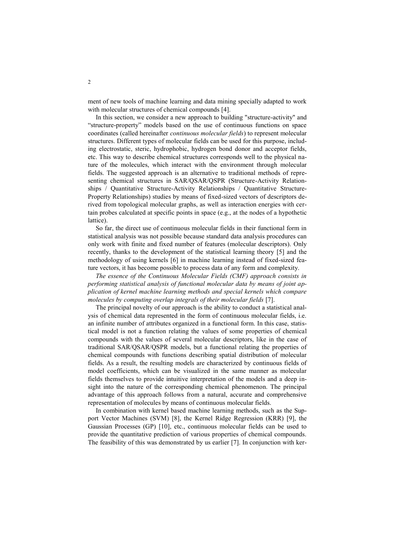ment of new tools of machine learning and data mining specially adapted to work with molecular structures of chemical compounds [4].

In this section, we consider a new approach to building "structure-activity" and "structure-property" models based on the use of continuous functions on space coordinates (called hereinafter *continuous molecular fields*) to represent molecular structures. Different types of molecular fields can be used for this purpose, including electrostatic, steric, hydrophobic, hydrogen bond donor and acceptor fields, etc. This way to describe chemical structures corresponds well to the physical nature of the molecules, which interact with the environment through molecular fields. The suggested approach is an alternative to traditional methods of representing chemical structures in SAR/QSAR/QSPR (Structure-Activity Relationships / Quantitative Structure-Activity Relationships / Quantitative Structure-Property Relationships) studies by means of fixed-sized vectors of descriptors derived from topological molecular graphs, as well as interaction energies with certain probes calculated at specific points in space (e.g., at the nodes of a hypothetic lattice).

So far, the direct use of continuous molecular fields in their functional form in statistical analysis was not possible because standard data analysis procedures can only work with finite and fixed number of features (molecular descriptors). Only recently, thanks to the development of the statistical learning theory [5] and the methodology of using kernels [6] in machine learning instead of fixed-sized feature vectors, it has become possible to process data of any form and complexity.

*The essence of the Continuous Molecular Fields (CMF) approach consists in performing statistical analysis of functional molecular data by means of joint application of kernel machine learning methods and special kernels which compare molecules by computing overlap integrals of their molecular fields* [7].

The principal novelty of our approach is the ability to conduct a statistical analysis of chemical data represented in the form of continuous molecular fields, i.e. an infinite number of attributes organized in a functional form. In this case, statistical model is not a function relating the values of some properties of chemical compounds with the values of several molecular descriptors, like in the case of traditional SAR/QSAR/QSPR models, but a functional relating the properties of chemical compounds with functions describing spatial distribution of molecular fields. As a result, the resulting models are characterized by continuous fields of model coefficients, which can be visualized in the same manner as molecular fields themselves to provide intuitive interpretation of the models and a deep insight into the nature of the corresponding chemical phenomenon. The principal advantage of this approach follows from a natural, accurate and comprehensive representation of molecules by means of continuous molecular fields.

In combination with kernel based machine learning methods, such as the Support Vector Machines (SVM) [8], the Kernel Ridge Regression (KRR) [9], the Gaussian Processes (GP) [10], etc., continuous molecular fields can be used to provide the quantitative prediction of various properties of chemical compounds. The feasibility of this was demonstrated by us earlier [7]. In conjunction with ker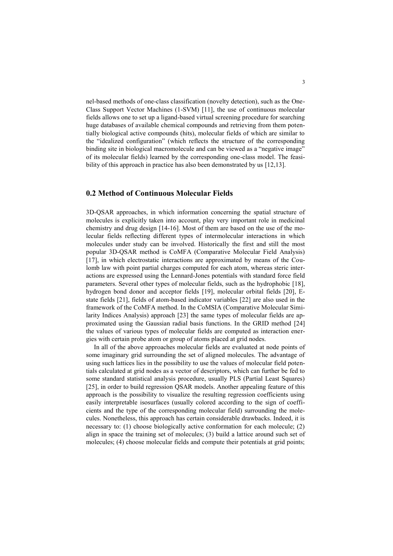nel-based methods of one-class classification (novelty detection), such as the One-Class Support Vector Machines (1-SVM) [11], the use of continuous molecular fields allows one to set up a ligand-based virtual screening procedure for searching huge databases of available chemical compounds and retrieving from them potentially biological active compounds (hits), molecular fields of which are similar to the "idealized configuration" (which reflects the structure of the corresponding binding site in biological macromolecule and can be viewed as a "negative image" of its molecular fields) learned by the corresponding one-class model. The feasibility of this approach in practice has also been demonstrated by us [12,13].

### **0.2 Method of Continuous Molecular Fields**

3D-QSAR approaches, in which information concerning the spatial structure of molecules is explicitly taken into account, play very important role in medicinal chemistry and drug design [14-16]. Most of them are based on the use of the molecular fields reflecting different types of intermolecular interactions in which molecules under study can be involved. Historically the first and still the most popular 3D-QSAR method is CoMFA (Comparative Molecular Field Analysis) [17], in which electrostatic interactions are approximated by means of the Coulomb law with point partial charges computed for each atom, whereas steric interactions are expressed using the Lennard-Jones potentials with standard force field parameters. Several other types of molecular fields, such as the hydrophobic [18], hydrogen bond donor and acceptor fields [19], molecular orbital fields [20], Estate fields [21], fields of atom-based indicator variables [22] are also used in the framework of the CoMFA method. In the CoMSIA (Comparative Molecular Similarity Indices Analysis) approach [23] the same types of molecular fields are approximated using the Gaussian radial basis functions. In the GRID method [24] the values of various types of molecular fields are computed as interaction energies with certain probe atom or group of atoms placed at grid nodes.

In all of the above approaches molecular fields are evaluated at node points of some imaginary grid surrounding the set of aligned molecules. The advantage of using such lattices lies in the possibility to use the values of molecular field potentials calculated at grid nodes as a vector of descriptors, which can further be fed to some standard statistical analysis procedure, usually PLS (Partial Least Squares) [25], in order to build regression QSAR models. Another appealing feature of this approach is the possibility to visualize the resulting regression coefficients using easily interpretable isosurfaces (usually colored according to the sign of coefficients and the type of the corresponding molecular field) surrounding the molecules. Nonetheless, this approach has certain considerable drawbacks. Indeed, it is necessary to: (1) choose biologically active conformation for each molecule; (2) align in space the training set of molecules; (3) build a lattice around such set of molecules; (4) choose molecular fields and compute their potentials at grid points;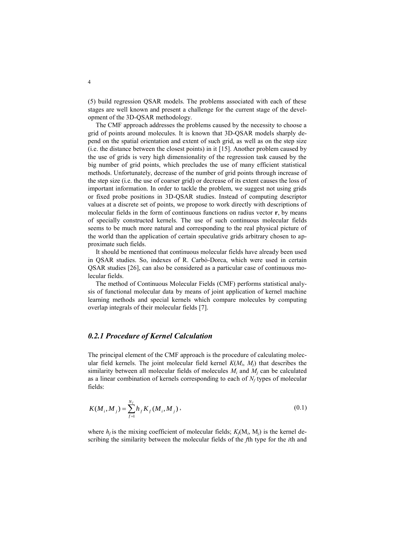(5) build regression QSAR models. The problems associated with each of these stages are well known and present a challenge for the current stage of the development of the 3D-QSAR methodology.

The CMF approach addresses the problems caused by the necessity to choose a grid of points around molecules. It is known that 3D-QSAR models sharply depend on the spatial orientation and extent of such grid, as well as on the step size (i.e. the distance between the closest points) in it [15]. Another problem caused by the use of grids is very high dimensionality of the regression task caused by the big number of grid points, which precludes the use of many efficient statistical methods. Unfortunately, decrease of the number of grid points through increase of the step size (i.e. the use of coarser grid) or decrease of its extent causes the loss of important information. In order to tackle the problem, we suggest not using grids or fixed probe positions in 3D-QSAR studies. Instead of computing descriptor values at a discrete set of points, we propose to work directly with descriptions of molecular fields in the form of continuous functions on radius vector **r**, by means of specially constructed kernels. The use of such continuous molecular fields seems to be much more natural and corresponding to the real physical picture of the world than the application of certain speculative grids arbitrary chosen to approximate such fields.

It should be mentioned that continuous molecular fields have already been used in QSAR studies. So, indexes of R. Carbó-Dorca, which were used in certain QSAR studies [26], can also be considered as a particular case of continuous molecular fields.

The method of Continuous Molecular Fields (CMF) performs statistical analysis of functional molecular data by means of joint application of kernel machine learning methods and special kernels which compare molecules by computing overlap integrals of their molecular fields [7].

### *0.2.1 Procedure of Kernel Calculation*

The principal element of the CMF approach is the procedure of calculating molecular field kernels. The joint molecular field kernel  $K(M_i, M_j)$  that describes the similarity between all molecular fields of molecules  $M_i$  and  $M_j$  can be calculated as a linear combination of kernels corresponding to each of  $N_f$  types of molecular fields:

$$
K(M_i, M_j) = \sum_{f=1}^{N_f} h_f K_f(M_i, M_j),
$$
\n(0.1)

where  $h_f$  is the mixing coefficient of molecular fields;  $K_f(M_i, M_j)$  is the kernel describing the similarity between the molecular fields of the *f*th type for the *i*th and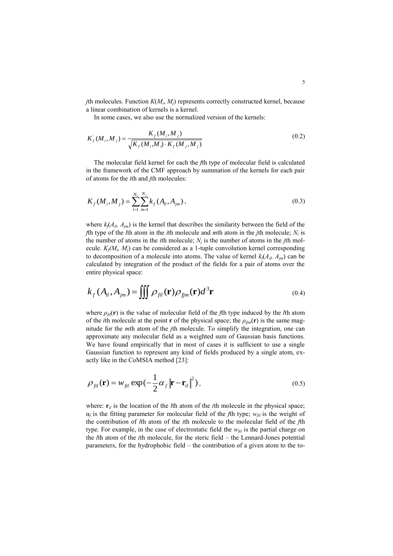*j*th molecules. Function *K*(*M<sup>i</sup>* , *Mj*) represents correctly constructed kernel, because a linear combination of kernels is a kernel.

In some cases, we also use the normalized version of the kernels:

$$
K_j(M_i, M_j) = \frac{K_j(M_i, M_j)}{\sqrt{K_j(M_i, M_j) \cdot K_j(M_j, M_j)}}
$$
(0.2)

The molecular field kernel for each the *f*th type of molecular field is calculated in the framework of the CMF approach by summation of the kernels for each pair of atoms for the *i*th and *j*th molecules:

$$
K_f(M_i, M_j) = \sum_{l=1}^{N_i} \sum_{m=1}^{N_j} k_f(A_{il}, A_{jm}), \qquad (0.3)
$$

where  $k(A_i, A_j)$  is the kernel that describes the similarity between the field of the *f*th type of the *l*th atom in the *i*th molecule and *m*th atom in the *j*th molecule; *N<sup>i</sup>* is the number of atoms in the *i*th molecule;  $N_j$  is the number of atoms in the *j*th molecule.  $K_f(M_i, M_j)$  can be considered as a 1-tuple convolution kernel corresponding to decomposition of a molecule into atoms. The value of kernel  $k_f(A_{ib}, A_{jm})$  can be calculated by integration of the product of the fields for a pair of atoms over the entire physical space:

$$
k_f(A_{il}, A_{jm}) = \iiint \rho_{fil}(\mathbf{r}) \rho_{jjm}(\mathbf{r}) d^3 \mathbf{r}
$$
 (0.4)

where  $\rho_{\hat{n}}(\mathbf{r})$  is the value of molecular field of the *f*th type induced by the *l*th atom of the *i*th molecule at the point **r** of the physical space; the  $\rho_{\text{fin}}(\mathbf{r})$  is the same magnitude for the *m*th atom of the *j*th molecule. To simplify the integration, one can approximate any molecular field as a weighted sum of Gaussian basis functions. We have found empirically that in most of cases it is sufficient to use a single Gaussian function to represent any kind of fields produced by a single atom, exactly like in the CoMSIA method [23]:

$$
\rho_{fil}(\mathbf{r}) = w_{fil} \exp(-\frac{1}{2}\alpha_f \left\|\mathbf{r} - \mathbf{r}_{il}\right\|^2),\tag{0.5}
$$

where:  $\mathbf{r}_{il}$  is the location of the *l*th atom of the *i*th molecule in the physical space;  $\alpha_f$  is the fitting parameter for molecular field of the *f*th type;  $w_{fil}$  is the weight of the contribution of *l*th atom of the *i*th molecule to the molecular field of the *f*th type. For example, in the case of electrostatic field the *wfil* is the partial charge on the *l*th atom of the *i*th molecule, for the steric field – the Lennard-Jones potential parameters, for the hydrophobic field – the contribution of a given atom to the to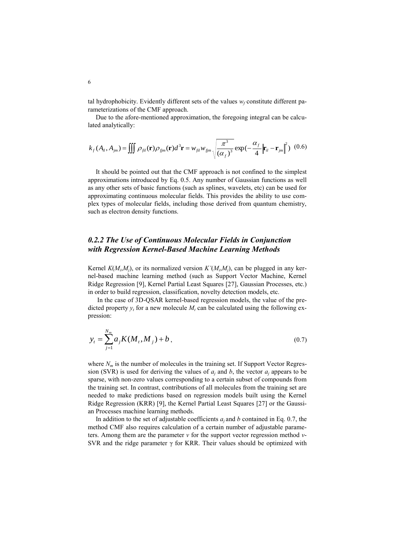tal hydrophobicity. Evidently different sets of the values  $w_f$  constitute different parameterizations of the CMF approach.

Due to the afore-mentioned approximation, the foregoing integral can be calculated analytically:

$$
k_f(A_{il}, A_{jm}) = \iiint \rho_{fil}(\mathbf{r}) \rho_{ljm}(\mathbf{r}) d^3 \mathbf{r} = w_{fil} w_{ljm} \sqrt{\frac{\pi^3}{(\alpha_f)^3}} \exp(-\frac{\alpha_f}{4} ||\mathbf{r}_{il} - \mathbf{r}_{jm}||^2) \tag{0.6}
$$

It should be pointed out that the CMF approach is not confined to the simplest approximations introduced by Eq. 0.5. Any number of Gaussian functions as well as any other sets of basic functions (such as splines, wavelets, etc) can be used for approximating continuous molecular fields. This provides the ability to use complex types of molecular fields, including those derived from quantum chemistry, such as electron density functions.

### *0.2.2 The Use of Continuous Molecular Fields in Conjunction with Regression Kernel-Based Machine Learning Methods*

Kernel  $K(M_i,M_j)$ , or its normalized version  $K'(M_i,M_j)$ , can be plugged in any kernel-based machine learning method (such as Support Vector Machine, Kernel Ridge Regression [9], Kernel Partial Least Squares [27], Gaussian Processes, etc.) in order to build regression, classification, novelty detection models, etc.

In the case of 3D-QSAR kernel-based regression models, the value of the predicted property  $v_t$  for a new molecule  $M_t$  can be calculated using the following expression:

$$
y_t = \sum_{j=1}^{N_m} a_j K(M_t, M_j) + b,
$$
\n(0.7)

where  $N_m$  is the number of molecules in the training set. If Support Vector Regression (SVR) is used for deriving the values of  $a_j$  and  $b$ , the vector  $a_j$  appears to be sparse, with non-zero values corresponding to a certain subset of compounds from the training set. In contrast, contributions of all molecules from the training set are needed to make predictions based on regression models built using the Kernel Ridge Regression (KRR) [9], the Kernel Partial Least Squares [27] or the Gaussian Processes machine learning methods.

In addition to the set of adjustable coefficients  $a_i$  and  $b$  contained in Eq. 0.7, the method CMF also requires calculation of a certain number of adjustable parameters. Among them are the parameter *v* for the support vector regression method *v*-SVR and the ridge parameter  $\gamma$  for KRR. Their values should be optimized with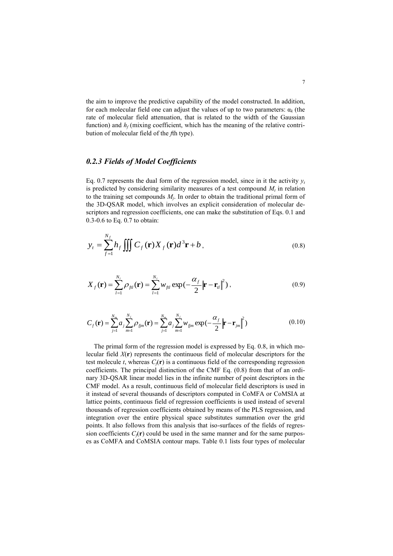the aim to improve the predictive capability of the model constructed. In addition, for each molecular field one can adjust the values of up to two parameters: α*<sup>k</sup>* (the rate of molecular field attenuation, that is related to the width of the Gaussian function) and  $h_f$  (mixing coefficient, which has the meaning of the relative contribution of molecular field of the *f*th type).

### *0.2.3 Fields of Model Coefficients*

Eq. 0.7 represents the dual form of the regression model, since in it the activity  $y_t$ is predicted by considering similarity measures of a test compound *M<sup>t</sup>* in relation to the training set compounds  $M_j$ . In order to obtain the traditional primal form of the 3D-QSAR model, which involves an explicit consideration of molecular descriptors and regression coefficients, one can make the substitution of Eqs. 0.1 and 0.3-0.6 to Eq. 0.7 to obtain:

$$
y_t = \sum_{f=1}^{N_f} h_f \iiint C_f(\mathbf{r}) X_f(\mathbf{r}) d^3 \mathbf{r} + b,
$$
\n(0.8)

$$
X_f(\mathbf{r}) = \sum_{l=1}^{N_i} \rho_{\text{fil}}(\mathbf{r}) = \sum_{l=1}^{N_i} w_{\text{fil}} \exp\left(-\frac{\alpha_f}{2} \left\|\mathbf{r} - \mathbf{r}_{\text{tl}}\right\|^2\right),\tag{0.9}
$$

$$
C_f(\mathbf{r}) = \sum_{j=1}^{N_m} a_j \sum_{m=1}^{N_j} \rho_{jjm}(\mathbf{r}) = \sum_{j=1}^{N_m} a_j \sum_{m=1}^{N_j} w_{jjm} \exp(-\frac{\alpha_f}{2} ||\mathbf{r} - \mathbf{r}_{jm}||^2)
$$
(0.10)

The primal form of the regression model is expressed by Eq. 0.8, in which molecular field *X*(**r**) represents the continuous field of molecular descriptors for the test molecule  $t$ , whereas  $C_f(\mathbf{r})$  is a continuous field of the corresponding regression coefficients. The principal distinction of the CMF Eq. (0.8) from that of an ordinary 3D-QSAR linear model lies in the infinite number of point descriptors in the CMF model. As a result, continuous field of molecular field descriptors is used in it instead of several thousands of descriptors computed in CoMFA or CoMSIA at lattice points, continuous field of regression coefficients is used instead of several thousands of regression coefficients obtained by means of the PLS regression, and integration over the entire physical space substitutes summation over the grid points. It also follows from this analysis that iso-surfaces of the fields of regression coefficients  $C_f(\mathbf{r})$  could be used in the same manner and for the same purposes as CoMFA and CoMSIA contour maps. Table 0.1 lists four types of molecular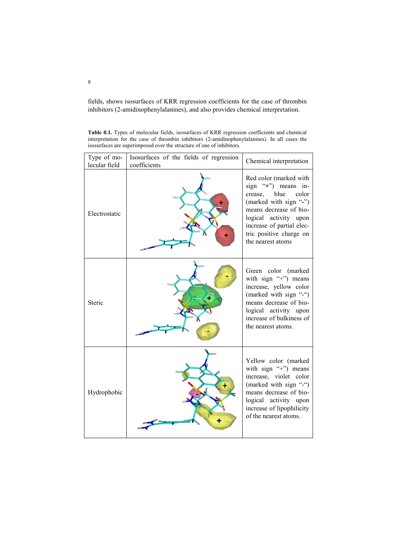fields, shows isosurfaces of KRR regression coefficients for the case of thrombin inhibitors (2-amidinophenylalanines), and also provides chemical interpretation.

**Table 0.1.** Types of molecular fields, isosurfaces of KRR regression coefficients and chemical interpretation for the case of thrombin inhibitors (2-amidinophenylalanines). In all cases the isosurfaces are superimposed over the structure of one of inhibitors.

| Type of mo-   | Isosurfaces of the fields of regression | Chemical interpretation                                                                                                                                                                                                             |
|---------------|-----------------------------------------|-------------------------------------------------------------------------------------------------------------------------------------------------------------------------------------------------------------------------------------|
| lecular field | coefficients                            |                                                                                                                                                                                                                                     |
| Electrostatic |                                         | Red color (marked with<br>sign "+") means in-<br>blue<br>color<br>crease,<br>(marked with sign "-")<br>means decrease of bio-<br>logical activity upon<br>increase of partial elec-<br>tric positive charge on<br>the nearest atoms |
| Steric        |                                         | Green color (marked<br>with sign "+" $)$ means<br>increase, yellow color<br>(marked with sign "-")<br>means decrease of bio-<br>logical activity upon<br>increase of bulkiness of<br>the nearest atoms.                             |
| Hydrophobic   |                                         | Yellow color (marked<br>with sign "+" $)$ means<br>increase, violet color<br>(marked with sign "-")<br>means decrease of bio-<br>logical activity upon<br>increase of lipophilicity<br>of the nearest atoms.                        |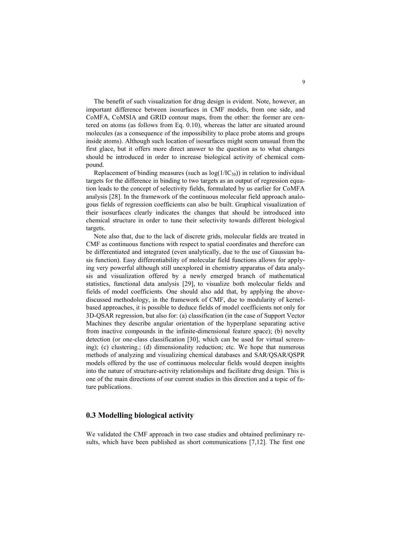The benefit of such visualization for drug design is evident. Note, however, an important difference between isosurfaces in CMF models, from one side, and CoMFA, CoMSIA and GRID contour maps, from the other: the former are centered on atoms (as follows from Eq. 0.10), whereas the latter are situated around molecules (as a consequence of the impossibility to place probe atoms and groups inside atoms). Although such location of isosurfaces might seem unusual from the first glace, but it offers more direct answer to the question as to what changes should be introduced in order to increase biological activity of chemical compound.

Replacement of binding measures (such as  $log(1/IC_{50})$ ) in relation to individual targets for the difference in binding to two targets as an output of regression equation leads to the concept of selectivity fields, formulated by us earlier for CoMFA analysis [28]. In the framework of the continuous molecular field approach analogous fields of regression coefficients can also be built. Graphical visualization of their isosurfaces clearly indicates the changes that should be introduced into chemical structure in order to tune their selectivity towards different biological targets.

Note also that, due to the lack of discrete grids, molecular fields are treated in CMF as continuous functions with respect to spatial coordinates and therefore can be differentiated and integrated (even analytically, due to the use of Gaussian basis function). Easy differentiability of molecular field functions allows for applying very powerful although still unexplored in chemistry apparatus of data analysis and visualization offered by a newly emerged branch of mathematical statistics, functional data analysis [29], to visualize both molecular fields and fields of model coefficients. One should also add that, by applying the abovediscussed methodology, in the framework of CMF, due to modularity of kernelbased approaches, it is possible to deduce fields of model coefficients not only for 3D-QSAR regression, but also for: (a) classification (in the case of Support Vector Machines they describe angular orientation of the hyperplane separating active from inactive compounds in the infinite-dimensional feature space); (b) novelty detection (or one-class classification [30], which can be used for virtual screening); (c) clustering.; (d) dimensionality reduction; etc. We hope that numerous methods of analyzing and visualizing chemical databases and SAR/QSAR/QSPR models offered by the use of continuous molecular fields would deepen insights into the nature of structure-activity relationships and facilitate drug design. This is one of the main directions of our current studies in this direction and a topic of future publications.

### **0.3 Modelling biological activity**

We validated the CMF approach in two case studies and obtained preliminary results, which have been published as short communications [7,12]. The first one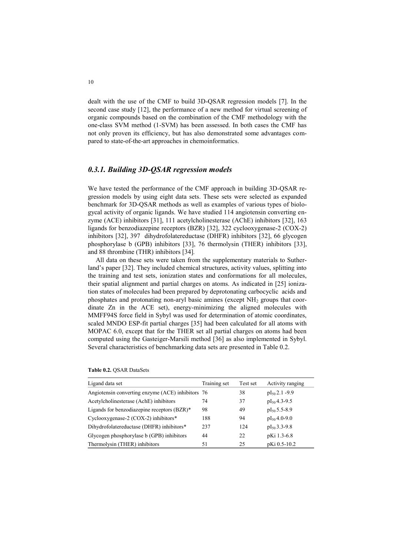dealt with the use of the CMF to build 3D-QSAR regression models [7]. In the second case study [12], the performance of a new method for virtual screening of organic compounds based on the combination of the CMF methodology with the one-class SVM method (1-SVM) has been assessed. In both cases the CMF has not only proven its efficiency, but has also demonstrated some advantages compared to state-of-the-art approaches in chemoinformatics.

### *0.3.1. Building 3D-QSAR regression models*

We have tested the performance of the CMF approach in building 3D-QSAR regression models by using eight data sets. These sets were selected as expanded benchmark for 3D-QSAR methods as well as examples of various types of biologycal activity of organic ligands. We have studied 114 angiotensin converting enzyme (ACE) inhibitors [31], 111 acetylcholinesterase (AChE) inhibitors [32], 163 ligands for benzodiazepine receptors (BZR) [32], 322 cyclooxygenase-2 (COX-2) inhibitors [32], 397 dihydrofolatereductase (DHFR) inhibitors [32], 66 glycogen phosphorylase b (GPB) inhibitors [33], 76 thermolysin (THER) inhibitors [33], and 88 thrombine (THR) inhibitors [34]*.*

All data on these sets were taken from the supplementary materials to Sutherland's paper [32]. They included chemical structures, activity values, splitting into the training and test sets, ionization states and conformations for all molecules, their spatial alignment and partial charges on atoms. As indicated in [25] ionization states of molecules had been prepared by deprotonating carbocyclic acids and phosphates and protonating non-aryl basic amines (except  $NH<sub>2</sub>$  groups that coordinate Zn in the ACE set), energy-minimizing the aligned molecules with MMFF94S force field in Sybyl was used for determination of atomic coordinates, scaled MNDO ESP-fit partial charges [35] had been calculated for all atoms with MOPAC 6.0, except that for the THER set all partial charges on atoms had been computed using the Gasteiger-Marsili method [36] as also implemented in Sybyl. Several characteristics of benchmarking data sets are presented in Table 0.2.

| Ligand data set                                   | Training set | Test set | Activity ranging   |
|---------------------------------------------------|--------------|----------|--------------------|
| Angiotensin converting enzyme (ACE) inhibitors 76 |              | 38       | $pI_{50}$ 2.1 -9.9 |
| Acetylcholinesterase (AchE) inhibitors            | 74           | 37       | $pI_{50}$ 4.3-9.5  |
| Ligands for benzodiazepine receptors (BZR)*       | 98           | 49       | $pI_{50}$ 5.5-8.9  |
| Cyclooxygenase-2 (COX-2) inhibitors*              | 188          | 94       | $pI_{50}4.0-9.0$   |
| Dihydrofolatereductase (DHFR) inhibitors*         | 237          | 124      | $pI_{50}$ 3.3-9.8  |
| Glycogen phosphorylase b (GPB) inhibitors         | 44           | 22       | pKi 1.3-6.8        |
| Thermolysin (THER) inhibitors                     | 51           | 25       | pKi 0.5-10.2       |

| Table 0.2. QSAR DataSets |  |  |
|--------------------------|--|--|
|--------------------------|--|--|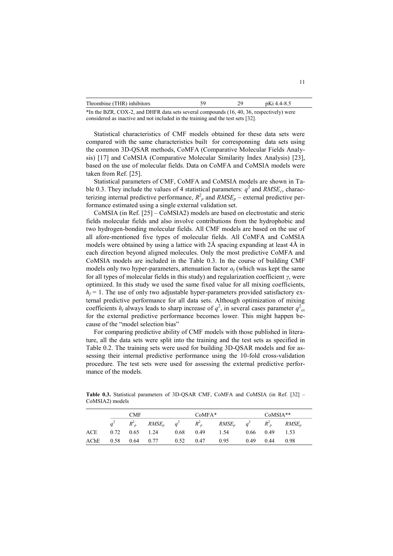| Thrombine (THR) inhibitors |  |  | pKi 4.4-8.5 |  |
|----------------------------|--|--|-------------|--|
|----------------------------|--|--|-------------|--|

\*In the BZR, COX-2, and DHFR data sets several compounds (16, 40, 36, respectively) were considered as inactive and not included in the training and the test sets [32].

Statistical characteristics of CMF models obtained for these data sets were compared with the same characteristics built for corresponning data sets using the common 3D-QSAR methods, CoMFA (Comparative Molecular Fields Analysis) [17] and CoMSIA (Comparative Molecular Similarity Index Analysis) [23], based on the use of molecular fields. Data on CoMFA and CoMSIA models were taken from Ref. [25].

Statistical parameters of CMF, CoMFA and CoMSIA models are shown in Table 0.3. They include the values of 4 statistical parameters:  $q^2$  and  $RMSE_{cv}$  characterizing internal predictive performance,  $R_p^2$  and  $RMSE_p$  – external predictive performance estimated using a single external validation set.

CoMSIA (in Ref. [25] – CoMSIA2) models are based on electrostatic and steric fields molecular fields and also involve contributions from the hydrophobic and two hydrogen-bonding molecular fields. All CMF models are based on the use of all afore-mentioned five types of molecular fields. All CoMFA and CoMSIA models were obtained by using a lattice with 2Å spacing expanding at least 4Å in each direction beyond aligned molecules. Only the most predictive CoMFA and CoMSIA models are included in the Table 0.3. In the course of building CMF models only two hyper-parameters, attenuation factor  $\alpha_f$  (which was kept the same for all types of molecular fields in this study) and regularization coefficient *γ*, were optimized. In this study we used the same fixed value for all mixing coefficients,  $h_f$  = 1. The use of only two adjustable hyper-parameters provided satisfactory external predictive performance for all data sets. Although optimization of mixing coefficients  $h_f$  always leads to sharp increase of  $q^2$ , in several cases parameter  $q^2_{ex}$ for the external predictive performance becomes lower. This might happen because of the "model selection bias"

For comparing predictive ability of CMF models with those published in literature, all the data sets were split into the training and the test sets as specified in Table 0.2. The training sets were used for building 3D-QSAR models and for assessing their internal predictive performance using the 10-fold cross-validation procedure. The test sets were used for assessing the external predictive performance of the models.

|      | <b>CMF</b>           |                      |  |      | $CoMFA*$ |                                                                                                                            |  | $CoMSIA**$  |      |  |
|------|----------------------|----------------------|--|------|----------|----------------------------------------------------------------------------------------------------------------------------|--|-------------|------|--|
|      |                      |                      |  |      |          | $R^2$ <sub>p</sub> RMSE <sub>p</sub> $q^2$ $R^2$ <sub>p</sub> RMSE <sub>p</sub> $q^2$ $R^2$ <sub>p</sub> RMSE <sub>p</sub> |  |             |      |  |
| ACE  |                      | $0.72$ $0.65$ $1.24$ |  | 0.68 | 0.49     | 1.54                                                                                                                       |  | $0.66$ 0.49 | 1.53 |  |
| AChE | $0.58$ $0.64$ $0.77$ |                      |  | 0.52 | 0.47     | 0.95                                                                                                                       |  | $0.49$ 0.44 | 0.98 |  |

**Table 0.3.** Statistical parameters of 3D-QSAR CMF, CoMFA and CoMSIA (in Ref. [32] – CoMSIA2) models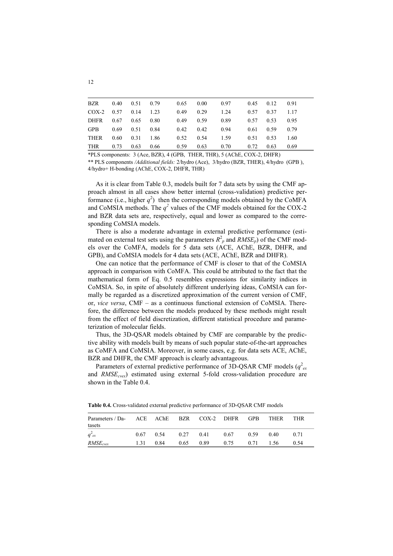|                      |                                               |                              | $0.73$ $0.63$ $0.66$ $0.59$ $0.63$ $0.70$ $0.72$ |                                                           | 0.63      | 0.69      |                                              |
|----------------------|-----------------------------------------------|------------------------------|--------------------------------------------------|-----------------------------------------------------------|-----------|-----------|----------------------------------------------|
|                      |                                               |                              |                                                  |                                                           |           |           |                                              |
| $0.60$ $0.31$ $1.86$ |                                               |                              | $0.52$ $0.54$ $1.59$                             | $0.51 \qquad 0.53$                                        |           | 1.60      |                                              |
| GPB 0.69 0.51 0.84   |                                               |                              | $0.42$ $0.42$ $0.94$                             |                                                           | 0.61 0.59 | 0.79      |                                              |
|                      |                                               |                              |                                                  |                                                           |           | 0.95      |                                              |
|                      | 0.49                                          |                              |                                                  |                                                           |           |           |                                              |
|                      |                                               |                              |                                                  |                                                           |           |           |                                              |
|                      | $COX-2$ 0.57 0.14 1.23<br>DHFR 0.67 0.65 0.80 | $0.40 \quad 0.51 \quad 0.79$ |                                                  | $0.65$ $0.00$ $0.97$<br>0.29 1.24<br>$0.49$ $0.59$ $0.89$ |           | 0.57 0.53 | $0.45$ $0.12$ $0.91$<br>$0.57$ $0.37$ $1.17$ |

\*PLS components: 3 (Ace, BZR), 4 (GPB, THER, THR), 5 (AChE, COX-2, DHFR) \*\* PLS components */Additional fields:* 2/hydro (Ace), 3/hydro (BZR, THER), 4/hydro (GPB ), 4/hydro+ H-bonding (AChE, COX-2, DHFR, THR)

As it is clear from Table 0.3, models built for 7 data sets by using the CMF approach almost in all cases show better internal (cross-validation) predictive performance (i.e., higher  $q^2$ ) then the corresponding models obtained by the CoMFA and CoMSIA methods. The  $q^2$  values of the CMF models obtained for the COX-2 and BZR data sets are, respectively, equal and lower as compared to the corresponding CoMSIA models.

There is also a moderate advantage in external predictive performance (estimated on external test sets using the parameters  $R_p^2$  and  $RMSE_p$ ) of the CMF models over the CoMFA, models for 5 data sets (ACE, AСhE, BZR, DHFR, and GPB), and CoMSIA models for 4 data sets (ACE, AChE, BZR and DHFR).

One can notice that the performance of CMF is closer to that of the CoMSIA approach in comparison with CoMFA. This could be attributed to the fact that the mathematical form of Eq. 0.5 resembles expressions for similarity indices in CoMSIA. So, in spite of absolutely different underlying ideas, CoMSIA can formally be regarded as a discretized approximation of the current version of CMF, or, *vice versa*, CMF – as a continuous functional extension of CoMSIA. Therefore, the difference between the models produced by these methods might result from the effect of field discretization, different statistical procedure and parameterization of molecular fields.

Thus, the 3D-QSAR models obtained by CMF are comparable by the predictive ability with models built by means of such popular state-of-the-art approaches as CoMFA and CoMSIA. Moreover, in some cases, e.g. for data sets ACE, AChE, BZR and DHFR, the CMF approach is clearly advantageous.

Parameters of external predictive performance of 3D-QSAR CMF models  $(q^2_{ex})$ and *RMSEcvex*) estimated using external 5-fold cross-validation procedure are shown in the Table 0.4.

| Parameters / Da- ACE AChE BZR COX-2 DHFR<br>tasets |      |      |      |      |      | <b>GPB</b> | THER | THR  |
|----------------------------------------------------|------|------|------|------|------|------------|------|------|
| $q^2_{ex}$                                         | 0.67 | 0.54 | 0.27 | 0.41 | 0.67 | 0.59       | 0.40 | 0.71 |
| $RMSE_{\text{cver}}$                               | 1.31 | 0.84 | 0.65 | 0.89 | 0.75 | 0.71       | 1.56 | 0.54 |

**Table 0.4.** Cross-validated external predictive performance of 3D-QSAR CMF models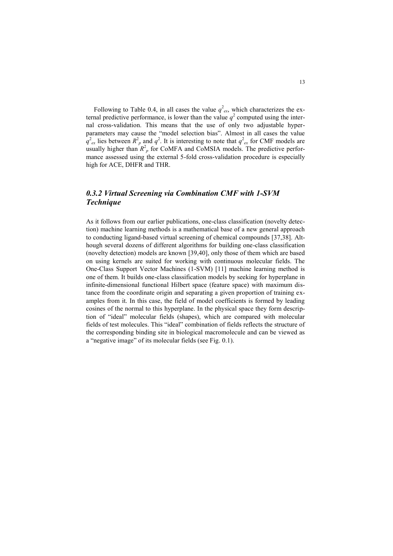Following to Table 0.4, in all cases the value  $q^2_{ex}$ , which characterizes the external predictive performance, is lower than the value  $q^2$  computed using the internal cross-validation. This means that the use of only two adjustable hyperparameters may cause the "model selection bias". Almost in all cases the value  $q^2_{ex}$  lies between  $R_p^2$  and  $q^2$ . It is interesting to note that  $q^2_{ex}$  for CMF models are usually higher than  $R_p^2$  for CoMFA and CoMSIA models. The predictive performance assessed using the external 5-fold cross-validation procedure is especially high for ACE, DHFR and THR.

### *0.3.2 Virtual Screening via Combination CMF with 1-SVM Technique*

As it follows from our earlier publications, one-class classification (novelty detection) machine learning methods is a mathematical base of a new general approach to conducting ligand-based virtual screening of chemical compounds [37,38]. Although several dozens of different algorithms for building one-class classification (novelty detection) models are known [39,40], only those of them which are based on using kernels are suited for working with continuous molecular fields. The One-Class Support Vector Machines (1-SVM) [11] machine learning method is one of them. It builds one-class classification models by seeking for hyperplane in infinite-dimensional functional Hilbert space (feature space) with maximum distance from the coordinate origin and separating a given proportion of training examples from it. In this case, the field of model coefficients is formed by leading cosines of the normal to this hyperplane. In the physical space they form description of "ideal" molecular fields (shapes), which are compared with molecular fields of test molecules. This "ideal" combination of fields reflects the structure of the corresponding binding site in biological macromolecule and can be viewed as a "negative image" of its molecular fields (see Fig. 0.1).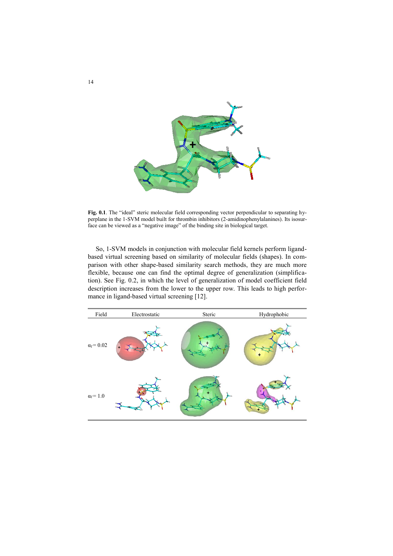

**Fig. 0.1**. The "ideal" steric molecular field corresponding vector perpendicular to separating hyperplane in the 1-SVM model built for thrombin inhibitors (2-amidinophenylalanines). Its isosurface can be viewed as a "negative image" of the binding site in biological target.

So, 1-SVM models in conjunction with molecular field kernels perform ligandbased virtual screening based on similarity of molecular fields (shapes). In comparison with other shape-based similarity search methods, they are much more flexible, because one can find the optimal degree of generalization (simplification). See Fig. 0.2, in which the level of generalization of model coefficient field description increases from the lower to the upper row. This leads to high performance in ligand-based virtual screening [12].

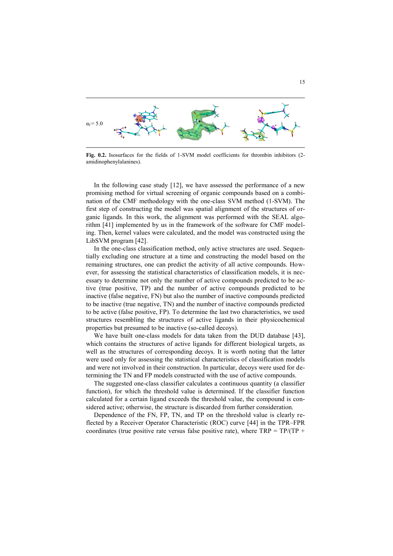

**Fig. 0.2.** Isosurfaces for the fields of 1-SVM model coefficients for thrombin inhibitors (2 amidinophenylalanines).

In the following case study [12], we have assessed the performance of a new promising method for virtual screening of organic compounds based on a combination of the CMF methodology with the one-class SVM method (1-SVM). The first step of constructing the model was spatial alignment of the structures of organic ligands. In this work, the alignment was performed with the SEAL algorithm [41] implemented by us in the framework of the software for CMF modeling. Then, kernel values were calculated, and the model was constructed using the LibSVM program [42].

In the one-class classification method, only active structures are used. Sequentially excluding one structure at a time and constructing the model based on the remaining structures, one can predict the activity of all active compounds. However, for assessing the statistical characteristics of classification models, it is necessary to determine not only the number of active compounds predicted to be active (true positive, TP) and the number of active compounds predicted to be inactive (false negative, FN) but also the number of inactive compounds predicted to be inactive (true negative, TN) and the number of inactive compounds predicted to be active (false positive, FP). To determine the last two characteristics, we used structures resembling the structures of active ligands in their physicochemical properties but presumed to be inactive (so-called decoys).

We have built one-class models for data taken from the DUD database [43], which contains the structures of active ligands for different biological targets, as well as the structures of corresponding decoys. It is worth noting that the latter were used only for assessing the statistical characteristics of classification models and were not involved in their construction. In particular, decoys were used for determining the TN and FP models constructed with the use of active compounds.

The suggested one-class classifier calculates a continuous quantity (a classifier function), for which the threshold value is determined. If the classifier function calculated for a certain ligand exceeds the threshold value, the compound is considered active; otherwise, the structure is discarded from further consideration.

Dependence of the FN, FP, TN, and TP on the threshold value is clearly reflected by a Receiver Operator Characteristic (ROC) curve [44] in the TPR–FPR coordinates (true positive rate versus false positive rate), where  $TRP = TP/(TP +$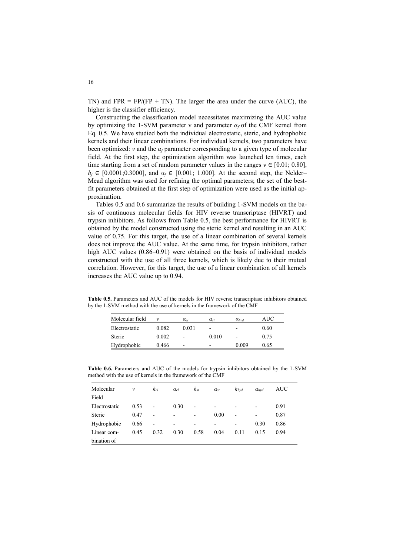TN) and  $FPR = FP/(FP + TN)$ . The larger the area under the curve (AUC), the higher is the classifier efficiency.

Constructing the classification model necessitates maximizing the AUC value by optimizing the 1-SVM parameter v and parameter  $\alpha_f$  of the CMF kernel from Eq. 0.5. We have studied both the individual electrostatic, steric, and hydrophobic kernels and their linear combinations. For individual kernels, two parameters have been optimized: *ν* and the *α<sup>f</sup>* parameter corresponding to a given type of molecular field. At the first step, the optimization algorithm was launched ten times, each time starting from a set of random parameter values in the ranges  $v \in [0.01; 0.80]$ ,  $h_f \in [0.0001; 0.3000]$ , and  $\alpha_f \in [0.001; 1.000]$ . At the second step, the Nelder– Mead algorithm was used for refining the optimal parameters; the set of the bestfit parameters obtained at the first step of optimization were used as the initial approximation.

Tables 0.5 and 0.6 summarize the results of building 1-SVM models on the basis of continuous molecular fields for HIV reverse transcriptase (HIVRT) and trypsin inhibitors. As follows from Table 0.5, the best performance for HIVRT is obtained by the model constructed using the steric kernel and resulting in an AUC value of 0.75. For this target, the use of a linear combination of several kernels does not improve the AUC value. At the same time, for trypsin inhibitors, rather high AUC values (0.86–0.91) were obtained on the basis of individual models constructed with the use of all three kernels, which is likely due to their mutual correlation. However, for this target, the use of a linear combination of all kernels increases the AUC value up to 0.94.

**Table 0.5.** Parameters and AUC of the models for HIV reverse transcriptase inhibitors obtained by the 1-SVM method with the use of kernels in the framework of the CMF

| Molecular field |       | $\alpha_{el}$            | $\alpha_{st}$ | $a_{hvd}$      | AUC  |
|-----------------|-------|--------------------------|---------------|----------------|------|
| Electrostatic   | 0.082 | 0.031                    | -             | $\overline{a}$ | 0.60 |
| <b>Steric</b>   | 0.002 | $\overline{\phantom{a}}$ | 0.010         | $\overline{a}$ | 0.75 |
| Hydrophobic     | 0.466 | $\overline{\phantom{a}}$ | ٠             | 0.009          | 0.65 |

**Table 0.6.** Parameters and AUC of the models for trypsin inhibitors obtained by the 1-SVM method with the use of kernels in the framework of the CMF

| Molecular<br>Field | $\mathcal{V}$ | $h_{el}$       | $\alpha_{el}$ | $h_{st}$ | $\alpha_{st}$                | $h_{hvd}$ | $\alpha_{hvd}$ | <b>AUC</b> |
|--------------------|---------------|----------------|---------------|----------|------------------------------|-----------|----------------|------------|
|                    |               |                |               |          |                              |           |                |            |
| Electrostatic      | 0.53          | $\overline{a}$ | 0.30          | ۰        | ٠                            |           |                | 0.91       |
| Steric             | 0.47          | $\overline{a}$ |               | ۰        | 0.00                         |           |                | 0.87       |
| Hydrophobic        | 0.66          | ÷,             |               | -        | $\qquad \qquad \blacksquare$ |           | 0.30           | 0.86       |
| Linear com-        | 0.45          | 0.32           | 0.30          | 0.58     | 0.04                         | 0.11      | 0.15           | 0.94       |
| bination of        |               |                |               |          |                              |           |                |            |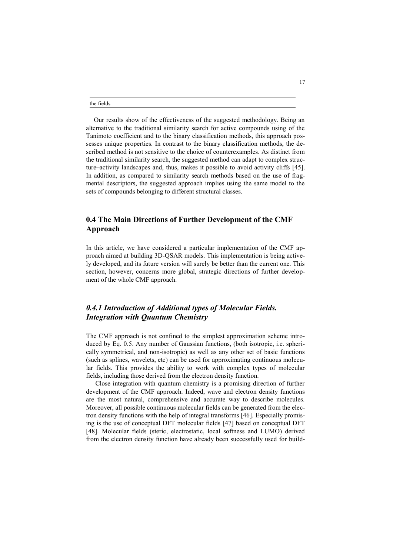#### the fields

Our results show of the effectiveness of the suggested methodology. Being an alternative to the traditional similarity search for active compounds using of the Tanimoto coefficient and to the binary classification methods, this approach possesses unique properties. In contrast to the binary classification methods, the described method is not sensitive to the choice of counterexamples. As distinct from the traditional similarity search, the suggested method can adapt to complex structure–activity landscapes and, thus, makes it possible to avoid activity cliffs [45]. In addition, as compared to similarity search methods based on the use of fragmental descriptors, the suggested approach implies using the same model to the sets of compounds belonging to different structural classes.

### **0.4 The Main Directions of Further Development of the CMF Approach**

In this article, we have considered a particular implementation of the CMF approach aimed at building 3D-QSAR models. This implementation is being actively developed, and its future version will surely be better than the current one. This section, however, concerns more global, strategic directions of further development of the whole CMF approach.

## *0.4.1 Introduction of Additional types of Molecular Fields. Integration with Quantum Chemistry*

The CMF approach is not confined to the simplest approximation scheme introduced by Eq. 0.5. Any number of Gaussian functions, (both isotropic, i.e. spherically symmetrical, and non-isotropic) as well as any other set of basic functions (such as splines, wavelets, etc) can be used for approximating continuous molecular fields. This provides the ability to work with complex types of molecular fields, including those derived from the electron density function.

Close integration with quantum chemistry is a promising direction of further development of the CMF approach. Indeed, wave and electron density functions are the most natural, comprehensive and accurate way to describe molecules. Moreover, all possible continuous molecular fields can be generated from the electron density functions with the help of integral transforms [46]. Especially promising is the use of conceptual DFT molecular fields [47] based on conceptual DFT [48]. Molecular fields (steric, electrostatic, local softness and LUMO) derived from the electron density function have already been successfully used for build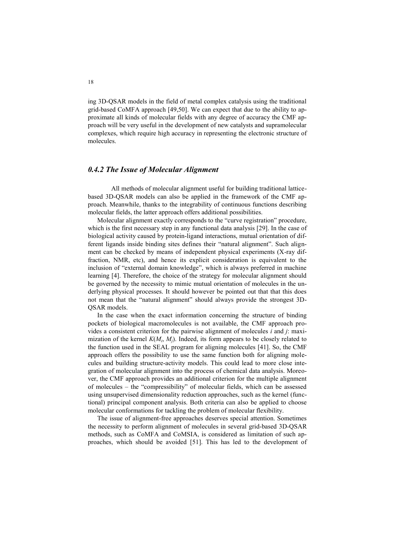ing 3D-QSAR models in the field of metal complex catalysis using the traditional grid-based CoMFA approach [49,50]. We can expect that due to the ability to approximate all kinds of molecular fields with any degree of accuracy the CMF approach will be very useful in the development of new catalysts and supramolecular complexes, which require high accuracy in representing the electronic structure of molecules.

#### *0.4.2 The Issue of Molecular Alignment*

All methods of molecular alignment useful for building traditional latticebased 3D-QSAR models can also be applied in the framework of the CMF approach. Meanwhile, thanks to the integrability of continuous functions describing molecular fields, the latter approach offers additional possibilities.

Molecular alignment exactly corresponds to the "curve registration" procedure, which is the first necessary step in any functional data analysis [29]. In the case of biological activity caused by protein-ligand interactions, mutual orientation of different ligands inside binding sites defines their "natural alignment". Such alignment can be checked by means of independent physical experiments (X-ray diffraction, NMR, etc), and hence its explicit consideration is equivalent to the inclusion of "external domain knowledge", which is always preferred in machine learning [4]. Therefore, the choice of the strategy for molecular alignment should be governed by the necessity to mimic mutual orientation of molecules in the underlying physical processes. It should however be pointed out that that this does not mean that the "natural alignment" should always provide the strongest 3D-QSAR models.

In the case when the exact information concerning the structure of binding pockets of biological macromolecules is not available, the CMF approach provides a consistent criterion for the pairwise alignment of molecules *i* and *j*: maximization of the kernel  $K(M_i, M_j)$ . Indeed, its form appears to be closely related to the function used in the SEAL program for aligning molecules [41]. So, the CMF approach offers the possibility to use the same function both for aligning molecules and building structure-activity models. This could lead to more close integration of molecular alignment into the process of chemical data analysis. Moreover, the CMF approach provides an additional criterion for the multiple alignment of molecules – the "compressibility" of molecular fields, which can be assessed using unsupervised dimensionality reduction approaches, such as the kernel (functional) principal component analysis. Both criteria can also be applied to choose molecular conformations for tackling the problem of molecular flexibility.

The issue of alignment-free approaches deserves special attention. Sometimes the necessity to perform alignment of molecules in several grid-based 3D-QSAR methods, such as CoMFA and CoMSIA, is considered as limitation of such approaches, which should be avoided [51]. This has led to the development of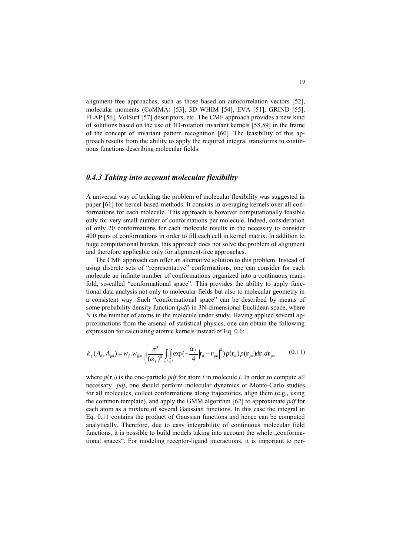alignment-free approaches, such as those based on autocorrelation vectors [52], molecular moments (CoMMA) [53], 3D WHIM [54], EVA [51], GRIND [55], FLAP [56], VolSurf [57] descriptors, etc. The CMF approach provides a new kind of solutions based on the use of 3D-rotation invariant kernels [58,59] in the frame of the concept of invariant pattern recognition [60]. The feasibility of this approach results from the ability to apply the required integral transforms to continuous functions describing molecular fields.

### *0.4.3 Taking into account molecular flexibility*

A universal way of tackling the problem of molecular flexibility was suggested in paper [61] for kernel-based methods. It consists in averaging kernels over all conformations for each molecule. This approach is however computationally feasible only for very small number of conformations per molecule. Indeed, consideration of only 20 conformations for each molecule results in the necessity to consider 400 pairs of conformations in order to fill each cell in kernel matrix. In addition to huge computational burden, this approach does not solve the problem of alignment and therefore applicable only for alignment-free approaches.

The CMF approach can offer an alternative solution to this problem. Instead of using discrete sets of "representative" conformations, one can consider for each molecule an infinite number of conformations organized into a continuous manifold, so-called "conformational space". This provides the ability to apply functional data analysis not only to molecular fields but also to molecular geometry in a consistent way. Such "conformational space" can be described by means of some probability density function (*pdf*) in 3N-dimensional Euclidean space, where N is the number of atoms in the molecule under study. Having applied several approximations from the arsenal of statistical physics, one can obtain the following expression for calculating atomic kernels instead of Eq. 0.6:

$$
k_f(A_{il}, A_{jm}) = w_{fil} w_{jm} \sqrt{\frac{\pi^3}{(\alpha_f)^3}} \int_{\Re^3 \Re^3} \exp(-\frac{\alpha_f}{4} \left\| \mathbf{r}_{il} - \mathbf{r}_{jm} \right\|^2) p(\mathbf{r}_{il}) p(\mathbf{r}_{jm}) d\mathbf{r}_{il} d\mathbf{r}_{jm}
$$
(0.11)

where  $p(\mathbf{r}_{il})$  is the one-particle *pdf* for atom *l* in molecule *i*. In order to compute all necessary *pdf*, one should perform molecular dynamics or Monte-Carlo studies for all molecules, collect conformations along trajectories, align them (e.g., using the common template), and apply the GMM algorithm [62] to approximate *pdf* for each atom as a mixture of several Gaussian functions. In this case the integral in Eq. 0.11 contains the product of Gaussian functions and hence can be computed analytically. Therefore, due to easy integrability of continuous molecular field functions, it is possible to build models taking into account the whole "conformational spaces". For modeling receptor-ligand interactions, it is important to per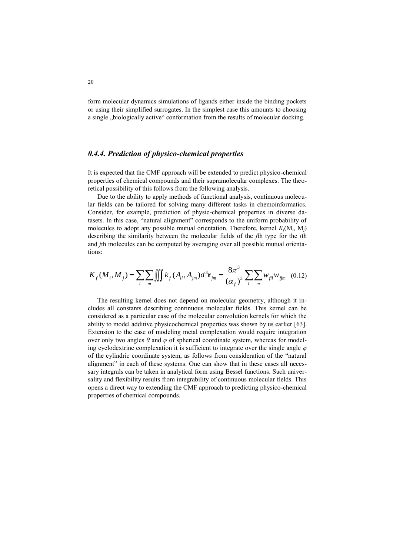form molecular dynamics simulations of ligands either inside the binding pockets or using their simplified surrogates. In the simplest case this amounts to choosing a single "biologically active" conformation from the results of molecular docking.

### *0.4.4. Prediction of physico-chemical properties*

It is expected that the CMF approach will be extended to predict physico-chemical properties of chemical compounds and their supramolecular complexes. The theoretical possibility of this follows from the following analysis.

Due to the ability to apply methods of functional analysis, continuous molecular fields can be tailored for solving many different tasks in chemoinformatics. Consider, for example, prediction of physic-chemical properties in diverse datasets. In this case, "natural alignment" corresponds to the uniform probability of molecules to adopt any possible mutual orientation. Therefore, kernel *Kf*(M*<sup>i</sup>* , M*j*) describing the similarity between the molecular fields of the *f*th type for the *i*th and *j*th molecules can be computed by averaging over all possible mutual orientations:

$$
K_f(M_i, M_j) = \sum_{l} \sum_{m} \iiint k_f(A_{il}, A_{jm}) d^3 \mathbf{r}_{jm} = \frac{8\pi^3}{(\alpha_f)^3} \sum_{l} \sum_{m} w_{fil} w_{ljm} \quad (0.12)
$$

The resulting kernel does not depend on molecular geometry, although it includes all constants describing continuous molecular fields. This kernel can be considered as a particular case of the molecular convolution kernels for which the ability to model additive physicochemical properties was shown by us earlier [63]. Extension to the case of modeling metal complexation would require integration over only two angles  $\theta$  and  $\varphi$  of spherical coordinate system, whereas for modeling cyclodextrine complexation it is sufficient to integrate over the single angle *φ* of the cylindric coordinate system, as follows from consideration of the "natural alignment" in each of these systems. One can show that in these cases all necessary integrals can be taken in analytical form using Bessel functions. Such universality and flexibility results from integrability of continuous molecular fields. This opens a direct way to extending the CMF approach to predicting physico-chemical properties of chemical compounds.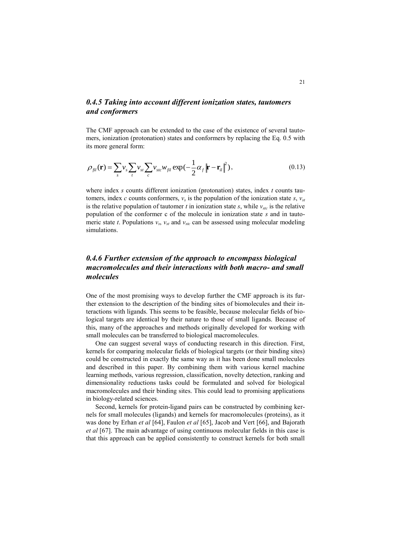### *0.4.5 Taking into account different ionization states, tautomers and conformers*

The CMF approach can be extended to the case of the existence of several tautomers, ionization (protonation) states and conformers by replacing the Eq. 0.5 with its more general form:

$$
\rho_{fil}(\mathbf{r}) = \sum_{s} v_s \sum_{t} v_{st} \sum_{c} v_{stc} w_{fil} \exp(-\frac{1}{2}\alpha_f \left\|\mathbf{r} - \mathbf{r}_{il}\right\|^2), \tag{0.13}
$$

where index *s* counts different ionization (protonation) states, index *t* counts tautomers, index *c* counts conformers,  $v_s$  is the population of the ionization state *s*,  $v_{si}$ is the relative population of tautomer *t* in ionization state *s*, while  $v_{\text{stc}}$  is the relative population of the conformer c of the molecule in ionization state *s* and in tautomeric state *t*. Populations  $v_s$ ,  $v_{st}$  and  $v_{stc}$  can be assessed using molecular modeling simulations.

### *0.4.6 Further extension of the approach to encompass biological macromolecules and their interactions with both macro- and small molecules*

One of the most promising ways to develop further the CMF approach is its further extension to the description of the binding sites of biomolecules and their interactions with ligands. This seems to be feasible, because molecular fields of biological targets are identical by their nature to those of small ligands. Because of this, many of the approaches and methods originally developed for working with small molecules can be transferred to biological macromolecules.

One can suggest several ways of conducting research in this direction. First, kernels for comparing molecular fields of biological targets (or their binding sites) could be constructed in exactly the same way as it has been done small molecules and described in this paper. By combining them with various kernel machine learning methods, various regression, classification, novelty detection, ranking and dimensionality reductions tasks could be formulated and solved for biological macromolecules and their binding sites. This could lead to promising applications in biology-related sciences.

Second, kernels for protein-ligand pairs can be constructed by combining kernels for small molecules (ligands) and kernels for macromolecules (proteins), as it was done by Erhan *et al* [64], Faulon *et al* [65], Jacob and Vert [66], and Bajorath *et al* [67]. The main advantage of using continuous molecular fields in this case is that this approach can be applied consistently to construct kernels for both small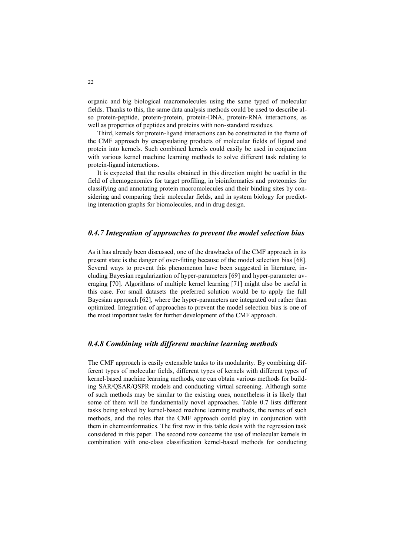organic and big biological macromolecules using the same typed of molecular fields. Thanks to this, the same data analysis methods could be used to describe also protein-peptide, protein-protein, protein-DNA, protein-RNA interactions, as well as properties of peptides and proteins with non-standard residues.

Third, kernels for protein-ligand interactions can be constructed in the frame of the CMF approach by encapsulating products of molecular fields of ligand and protein into kernels. Such combined kernels could easily be used in conjunction with various kernel machine learning methods to solve different task relating to protein-ligand interactions.

It is expected that the results obtained in this direction might be useful in the field of chemogenomics for target profiling, in bioinformatics and proteomics for classifying and annotating protein macromolecules and their binding sites by considering and comparing their molecular fields, and in system biology for predicting interaction graphs for biomolecules, and in drug design.

#### *0.4.7 Integration of approaches to prevent the model selection bias*

As it has already been discussed, one of the drawbacks of the CMF approach in its present state is the danger of over-fitting because of the model selection bias [68]. Several ways to prevent this phenomenon have been suggested in literature, including Bayesian regularization of hyper-parameters [69] and hyper-parameter averaging [70]. Algorithms of multiple kernel learning [71] might also be useful in this case. For small datasets the preferred solution would be to apply the full Bayesian approach [62], where the hyper-parameters are integrated out rather than optimized. Integration of approaches to prevent the model selection bias is one of the most important tasks for further development of the CMF approach.

### *0.4.8 Combining with different machine learning methods*

The CMF approach is easily extensible tanks to its modularity. By combining different types of molecular fields, different types of kernels with different types of kernel-based machine learning methods, one can obtain various methods for building SAR/QSAR/QSPR models and conducting virtual screening. Although some of such methods may be similar to the existing ones, nonetheless it is likely that some of them will be fundamentally novel approaches. Table 0.7 lists different tasks being solved by kernel-based machine learning methods, the names of such methods, and the roles that the CMF approach could play in conjunction with them in chemoinformatics. The first row in this table deals with the regression task considered in this paper. The second row concerns the use of molecular kernels in combination with one-class classification kernel-based methods for conducting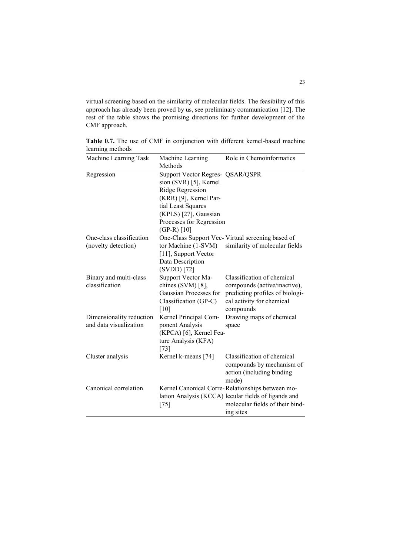virtual screening based on the similarity of molecular fields. The feasibility of this approach has already been proved by us, see preliminary communication [12]. The rest of the table shows the promising directions for further development of the CMF approach.

| Machine Learning Task                              | Machine Learning<br>Methods                                                                                                                                                                          | Role in Chemoinformatics                                                                                                                                 |
|----------------------------------------------------|------------------------------------------------------------------------------------------------------------------------------------------------------------------------------------------------------|----------------------------------------------------------------------------------------------------------------------------------------------------------|
| Regression                                         | Support Vector Regres- QSAR/QSPR<br>sion (SVR) [5], Kernel<br>Ridge Regression<br>(KRR) [9], Kernel Par-<br>tial Least Squares<br>(KPLS) [27], Gaussian<br>Processes for Regression<br>$(GP-R)$ [10] |                                                                                                                                                          |
| One-class classification<br>(novelty detection)    | tor Machine (1-SVM)<br>[11], Support Vector<br>Data Description<br>(SVDD) [72]                                                                                                                       | One-Class Support Vec- Virtual screening based of<br>similarity of molecular fields                                                                      |
| Binary and multi-class<br>classification           | Support Vector Ma-<br>chines (SVM) [8],<br>Gaussian Processes for<br>Classification (GP-C)<br>[10]                                                                                                   | Classification of chemical<br>compounds (active/inactive),<br>predicting profiles of biologi-<br>cal activity for chemical<br>compounds                  |
| Dimensionality reduction<br>and data visualization | Kernel Principal Com-<br>ponent Analysis<br>(KPCA) [6], Kernel Fea-<br>ture Analysis (KFA)<br>$[73]$                                                                                                 | Drawing maps of chemical<br>space                                                                                                                        |
| Cluster analysis                                   | Kernel k-means [74]                                                                                                                                                                                  | Classification of chemical<br>compounds by mechanism of<br>action (including binding<br>mode)                                                            |
| Canonical correlation                              | $[75]$                                                                                                                                                                                               | Kernel Canonical Corre-Relationships between mo-<br>lation Analysis (KCCA) lecular fields of ligands and<br>molecular fields of their bind-<br>ing sites |

**Table 0.7.** The use of CMF in conjunction with different kernel-based machine learning methods<br>Machine Learning ek Machine Learning Role in Chemoinformatics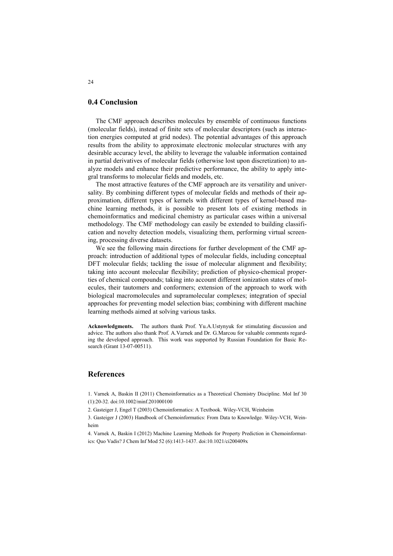#### **0.4 Conclusion**

The CMF approach describes molecules by ensemble of continuous functions (molecular fields), instead of finite sets of molecular descriptors (such as interaction energies computed at grid nodes). The potential advantages of this approach results from the ability to approximate electronic molecular structures with any desirable accuracy level, the ability to leverage the valuable information contained in partial derivatives of molecular fields (otherwise lost upon discretization) to analyze models and enhance their predictive performance, the ability to apply integral transforms to molecular fields and models, etc.

The most attractive features of the CMF approach are its versatility and universality. By combining different types of molecular fields and methods of their approximation, different types of kernels with different types of kernel-based machine learning methods, it is possible to present lots of existing methods in chemoinformatics and medicinal chemistry as particular cases within a universal methodology. The CMF methodology can easily be extended to building classification and novelty detection models, visualizing them, performing virtual screening, processing diverse datasets.

We see the following main directions for further development of the CMF approach: introduction of additional types of molecular fields, including conceptual DFT molecular fields; tackling the issue of molecular alignment and flexibility; taking into account molecular flexibility; prediction of physicо-chemical properties of chemical compounds; taking into account different ionization states of molecules, their tautomers and conformers; extension of the approach to work with biological macromolecules and supramolecular complexes; integration of special approaches for preventing model selection bias; combining with different machine learning methods aimed at solving various tasks.

**Acknowledgments.** The authors thank Prof. Yu.A.Ustynyuk for stimulating discussion and advice. The authors also thank Prof. A.Varnek and Dr. G.Marcou for valuable comments regarding the developed approach. This work was supported by Russian Foundation for Basic Research (Grant 13-07-00511).

### **References**

1. Varnek A, Baskin II (2011) Chemoinformatics as a Theoretical Chemistry Discipline. Mol Inf 30 (1):20-32. doi:10.1002/minf.201000100

2. Gasteiger J, Engel T (2003) Chemoinformatics: A Textbook. Wiley-VCH, Weinheim

3. Gasteiger J (2003) Handbook of Chemoinformatics: From Data to Knowledge. Wiley-VCH, Weinheim

4. Varnek A, Baskin I (2012) Machine Learning Methods for Property Prediction in Chemoinformatics: Quo Vadis? J Chem Inf Mod 52 (6):1413-1437. doi:10.1021/ci200409x

24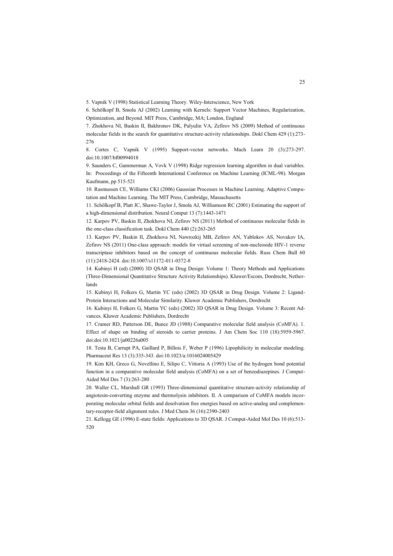5. Vapnik V (1998) Statistical Learning Theory. Wiley-Interscience, New York

6. Schölkopf B, Smola AJ (2002) Learning with Kernels: Support Vector Machines, Regularization, Optimization, and Beyond. MIT Press, Cambridge, MA; London, England

7. Zhokhova NI, Baskin II, Bakhronov DK, Palyulin VA, Zefirov NS (2009) Method of continuous molecular fields in the search for quantitative structure-activity relationships. Dokl Chem 429 (1):273- 276

8. Cortes C, Vapnik V (1995) Support-vector networks. Mach Learn 20 (3):273-297. doi:10.1007/bf00994018

9. Saunders C, Gammerman A, Vovk V (1998) Ridge regression learning algorithm in dual variables. In: Proceedings of the Fifteenth International Conference on Machine Learning (ICML-98). Morgan Kaufmann, pp 515-521

10. Rasmussen CE, Williams CKI (2006) Gaussian Processes in Machine Learning. Adaptive Computation and Machine Learning. The MIT Press, Cambridge, Massachusetts

11. Schölkopf B, Platt JC, Shawe-Taylor J, Smola AJ, Williamson RC (2001) Estimating the support of a high-dimensional distribution. Neural Comput 13 (7):1443-1471

12. Karpov PV, Baskin II, Zhokhova NI, Zefirov NS (2011) Method of continuous molecular fields in the one-class classification task. Dokl Chem 440 (2):263-265

13. Karpov PV, Baskin II, Zhokhova NI, Nawrozkij MB, Zefirov AN, Yablokov AS, Novakov IA, Zefirov NS (2011) One-class approach: models for virtual screening of non-nucleoside HIV-1 reverse transcriptase inhibitors based on the concept of continuous molecular fields. Russ Chem Bull 60 (11):2418-2424. doi:10.1007/s11172-011-0372-8

14. Kubinyi H (ed) (2000) 3D QSAR in Drug Design: Volume 1: Theory Methods and Applications (Three-Dimensional Quantitative Structure Activity Relationships). Kluwer/Escom, Dordrecht, Netherlands

15. Kubinyi H, Folkers G, Martin YC (eds) (2002) 3D QSAR in Drug Design. Volume 2: Ligand-Protein Interactions and Molecular Similarity. Kluwer Academic Publishers, Dordrecht

16. Kubinyi H, Folkers G, Martin YC (eds) (2002) 3D QSAR in Drug Design. Volume 3: Recent Advances. Kluwer Academic Publishers, Dordrecht

17. Cramer RD, Patterson DE, Bunce JD (1988) Comparative molecular field analysis (CoMFA). 1. Effect of shape on binding of steroids to carrier proteins. J Am Chem Soc 110 (18):5959-5967. doi:doi:10.1021/ja00226a005

18. Testa B, Carrupt PA, Gaillard P, Billois F, Weber P (1996) Lipophilicity in molecular modeling. Pharmaceut Res 13 (3):335-343. doi:10.1023/a:1016024005429

19. Kim KH, Greco G, Novellino E, Silipo C, Vittoria A (1993) Use of the hydrogen bond potential function in a comparative molecular field analysis (CoMFA) on a set of benzodiazepines. J Comput-Aided Mol Des 7 (3):263-280

20. Waller CL, Marshall GR (1993) Three-dimensional quantitative structure-activity relationship of angiotesin-converting enzyme and thermolysin inhibitors. II. A comparison of CoMFA models incorporating molecular orbital fields and desolvation free energies based on active-analog and complementary-receptor-field alignment rules. J Med Chem 36 (16):2390-2403

21. Kellogg GE (1996) E-state fields: Applications to 3D QSAR. J Comput-Aided Mol Des 10 (6):513- 520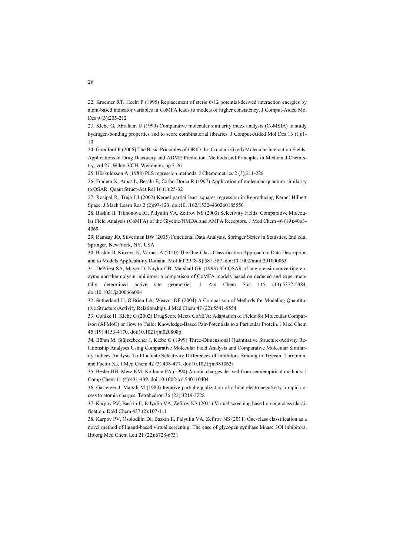22. Kroemer RT, Hecht P (1995) Replacement of steric 6-12 potential-derived interaction energies by atom-based indicator variables in CoMFA leads to models of higher consistency. J Comput-Aided Mol Des 9 (3):205-212

23. Klebe G, Abraham U (1999) Comparative molecular similarity index analysis (CoMSIA) to study hydrogen-bonding properties and to score combinatorial libraries. J Comput-Aided Mol Des 13 (1):1- 10

24. Goodford P (2006) The Basic Principles of GRID. In: Cruciani G (ed) Molecular Interaction Fields. Applications in Drug Discovery and ADME Prediction. Methods and Principles in Medicinal Chemistry, vol 27. Wiley-VCH, Weinheim, pp 3-26

25. Höskuldsson A (1988) PLS regression methods. J Chemometrics 2 (3):211-228

26. Fradera X, Amat L, Besalu E, Carbo-Dorca R (1997) Application of molecular quantum similarity to QSAR. Quant Struct-Act Rel 16 (1):25-32

27. Rosipal R, Trejo LJ (2002) Kernel partial least squares regression in Reproducing Kernel Hilbert Space. J Mach Learn Res 2 (2):97-123. doi:10.1162/15324430260185556

28. Baskin II, Tikhonova IG, Palyulin VA, Zefirov NS (2003) Selectivity Fields: Comparative Molecular Field Analysis (CoMFA) of the Glycine/NMDA and AMPA Receptors. J Med Chem 46 (19):4063- 4069

29. Ramsay JO, Silverman BW (2005) Functional Data Analysis. Springer Series in Statistics, 2nd edn. Springer, New York, NY, USA

30. Baskin II, Kireeva N, Varnek A (2010) The One-Class Classification Approach to Data Description and to Models Applicability Domain. Mol Inf 29 (8-9):581-587. doi:10.1002/minf.201000063

31. DePriest SA, Mayer D, Naylor CB, Marshall GR (1993) 3D-QSAR of angiotensin-converting enzyme and thermolysin inhibitors: a comparison of CoMFA models based on deduced and experimentally determined active site geometries. J Am Chem Soc 115 (13):5372-5384. doi:10.1021/ja00066a004

32. Sutherland JJ, O'Brien LA, Weaver DF (2004) A Comparison of Methods for Modeling Quantitative Structure-Activity Relationships. J Med Chem 47 (22):5541-5554

33. Gohlke H, Klebe G (2002) DrugScore Meets CoMFA: Adaptation of Fields for Molecular Comparison (AFMoC) or How to Tailor Knowledge-Based Pair-Potentials to a Particular Protein. J Med Chem 45 (19):4153-4170. doi:10.1021/jm020808p

34. Böhm M, Stüјrzebecher J, Klebe G (1999) Three-Dimensional Quantitative Structure-Activity Relationship Analyses Using Comparative Molecular Field Analysis and Comparative Molecular Similarity Indices Analysis To Elucidate Selectivity Differences of Inhibitors Binding to Trypsin, Thrombin, and Factor Xa. J Med Chem 42 (3):458-477. doi:10.1021/jm981062r

35. Besler BH, Merz KM, Kollman PA (1990) Atomic charges derived from semiempirical methods. J Comp Chem 11 (4):431-439. doi:10.1002/jcc.540110404

36. Gasteiger J, Marsili M (1980) Iterative partial equalization of orbital electronegativity-a rapid access to atomic charges. Tetrahedron 36 (22):3219-3228

37. Karpov PV, Baskin II, Palyulin VA, Zefirov NS (2011) Virtual screening based on one-class classification. Dokl Chem 437 (2):107-111

38. Karpov PV, Osolodkin DI, Baskin II, Palyulin VA, Zefirov NS (2011) One-class classification as a novel method of ligand-based virtual screening: The case of glycogen synthase kinase 3ОІ inhibitors. Bioorg Med Chem Lett 21 (22):6728-6731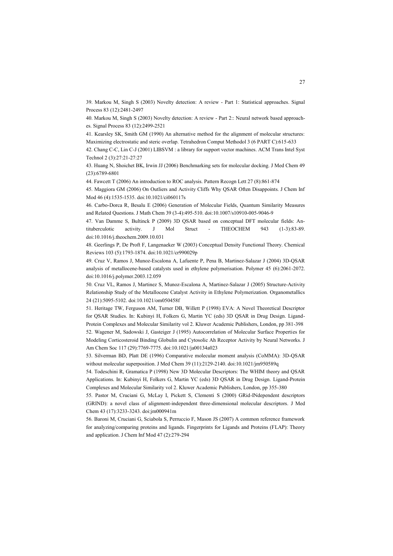39. Markou M, Singh S (2003) Novelty detection: A review - Part 1: Statistical approaches. Signal Process 83 (12):2481-2497

40. Markou M, Singh S (2003) Novelty detection: A review - Part 2:: Neural network based approaches. Signal Process 83 (12):2499-2521

41. Kearsley SK, Smith GM (1990) An alternative method for the alignment of molecular structures: Maximizing electrostatic and steric overlap. Tetrahedron Comput Methodol 3 (6 PART C):615-633

42. Chang C-C, Lin C-J (2001) LIBSVM : a library for support vector machines. ACM Trans Intel Syst Technol 2 (3):27:21-27:27

43. Huang N, Shoichet BK, Irwin JJ (2006) Benchmarking sets for molecular docking. J Med Chem 49 (23):6789-6801

44. Fawcett T (2006) An introduction to ROC analysis. Pattern Recogn Lett 27 (8):861-874

45. Maggiora GM (2006) On Outliers and Activity Cliffs Why QSAR Often Disappoints. J Chem Inf Mod 46 (4):1535-1535. doi:10.1021/ci060117s

46. Carbo-Dorca R, Besalu E (2006) Generation of Molecular Fields, Quantum Similarity Measures and Related Questions. J Math Chem 39 (3-4):495-510. doi:10.1007/s10910-005-9046-9

47. Van Damme S, Bultinck P (2009) 3D QSAR based on conceptual DFT molecular fields: Antituberculotic activity. J Mol Struct - THEOCHEM 943 (1-3):83-89. doi:10.1016/j.theochem.2009.10.031

48. Geerlings P, De Proft F, Langenaeker W (2003) Conceptual Density Functional Theory. Chemical Reviews 103 (5):1793-1874. doi:10.1021/cr990029p

49. Cruz V, Ramos J, Munoz-Escalona A, Lafuente P, Pena B, Martinez-Salazar J (2004) 3D-QSAR analysis of metallocene-based catalysts used in ethylene polymerisation. Polymer 45 (6):2061-2072. doi:10.1016/j.polymer.2003.12.059

50. Cruz VL, Ramos J, Martinez S, Munoz-Escalona A, Martinez-Salazar J (2005) Structure-Activity Relationship Study of the Metallocene Catalyst Activity in Ethylene Polymerization. Organometallics 24 (21):5095-5102. doi:10.1021/om050458f

51. Heritage TW, Ferguson AM, Turner DB, Willett P (1998) EVA: A Novel Theoretical Descriptor for QSAR Studies. In: Kubinyi H, Folkers G, Martin YC (eds) 3D QSAR in Drug Design. Ligand-Protein Complexes and Molecular Similarity vol 2. Kluwer Academic Publishers, London, pp 381-398 52. Wagener M, Sadowski J, Gasteiger J (1995) Autocorrelation of Molecular Surface Properties for Modeling Corticosteroid Binding Globulin and Cytosolic Ah Receptor Activity by Neural Networks. J Am Chem Soc 117 (29):7769-7775. doi:10.1021/ja00134a023

53. Silverman BD, Platt DE (1996) Comparative molecular moment analysis (CoMMA): 3D-QSAR without molecular superposition. J Med Chem 39 (11):2129-2140. doi:10.1021/jm950589q

54. Todeschini R, Gramatica P (1998) New 3D Molecular Descriptors: The WHIM theory and QSAR Applications. In: Kubinyi H, Folkers G, Martin YC (eds) 3D QSAR in Drug Design. Ligand-Protein Complexes and Molecular Similarity vol 2. Kluwer Academic Publishers, London, pp 355-380

55. Pastor M, Cruciani G, McLay I, Pickett S, Clementi S (2000) GRid-INdependent descriptors (GRIND): a novel class of alignment-independent three-dimensional molecular descriptors. J Med Chem 43 (17):3233-3243. doi:jm000941m

56. Baroni M, Cruciani G, Sciabola S, Perruccio F, Mason JS (2007) A common reference framework for analyzing/comparing proteins and ligands. Fingerprints for Ligands and Proteins (FLAP): Theory and application. J Chem Inf Mod 47 (2):279-294